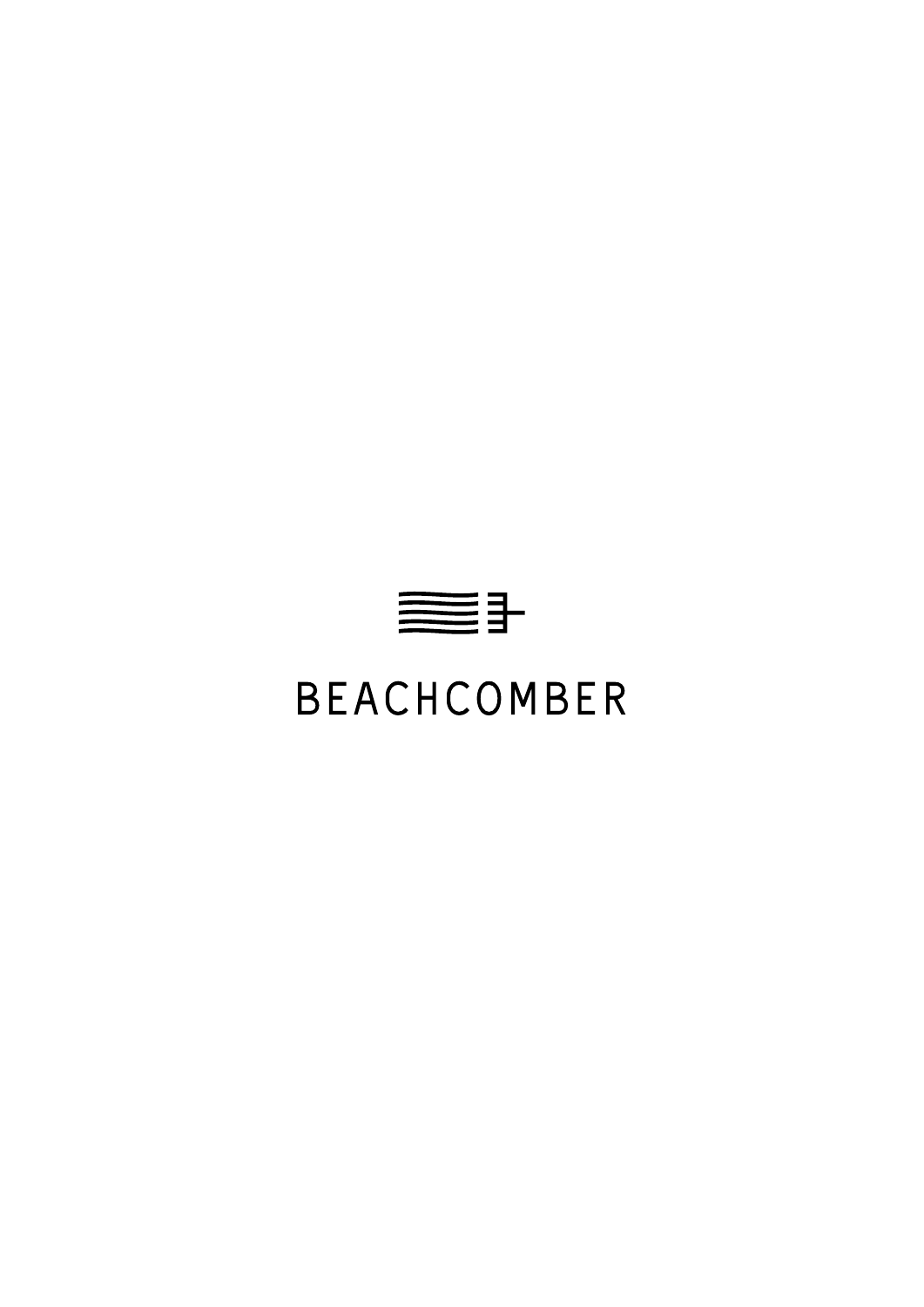

# **BEACHCOMBER**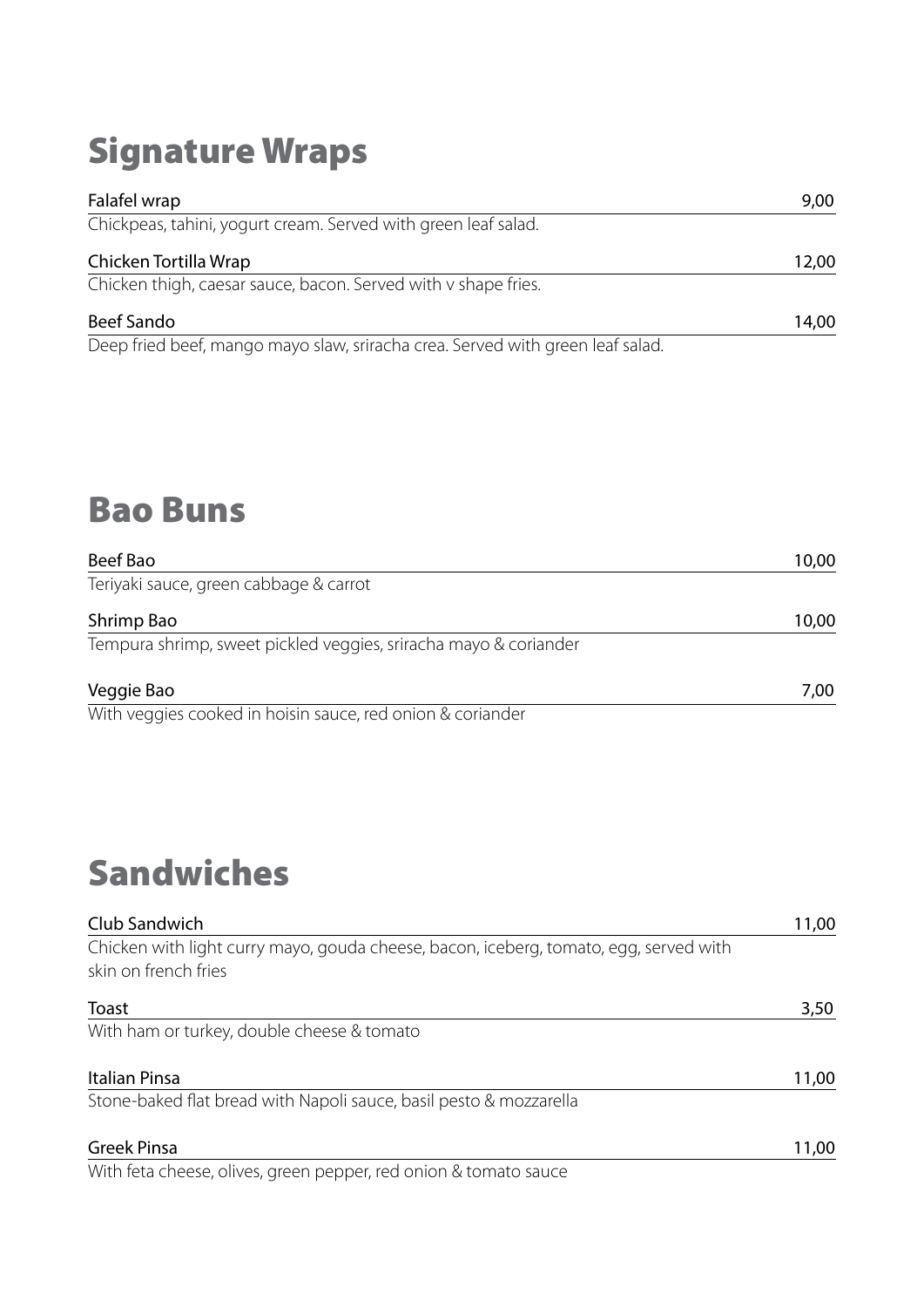# Signature Wraps

| Falafel wrap                                                              | 9,00  |
|---------------------------------------------------------------------------|-------|
| Chickpeas, tahini, yogurt cream. Served with green leaf salad.            |       |
| Chicken Tortilla Wrap                                                     | 12,00 |
| Chicken thigh, caesar sauce, bacon. Served with v shape fries.            |       |
| <b>Beef Sando</b>                                                         | 14,00 |
| Deep fried beef mange may elaw sripsha srea. Canyad with green loaf salad |       |

Deep fried beef, mango mayo slaw, sriracha crea. Served with green leaf salad.

# Bao Buns

| Beef Bao                                                         | 10,00 |
|------------------------------------------------------------------|-------|
| Teriyaki sauce, green cabbage & carrot                           |       |
| Shrimp Bao                                                       | 10,00 |
| Tempura shrimp, sweet pickled veggies, sriracha mayo & coriander |       |
| Veggie Bao                                                       | 7,00  |
| With veggies cooked in hoisin sauce, red onion & coriander       |       |

# Sandwiches

| Club Sandwich                                                                         | 11,00 |
|---------------------------------------------------------------------------------------|-------|
| Chicken with light curry mayo, gouda cheese, bacon, iceberg, tomato, egg, served with |       |
| skin on french fries                                                                  |       |
| Toast                                                                                 | 3,50  |
| With ham or turkey, double cheese & tomato                                            |       |
| Italian Pinsa                                                                         | 11,00 |
| Stone-baked flat bread with Napoli sauce, basil pesto & mozzarella                    |       |
| <b>Greek Pinsa</b>                                                                    | 11,00 |
| With feta cheese, olives, green pepper, red onion & tomato sauce                      |       |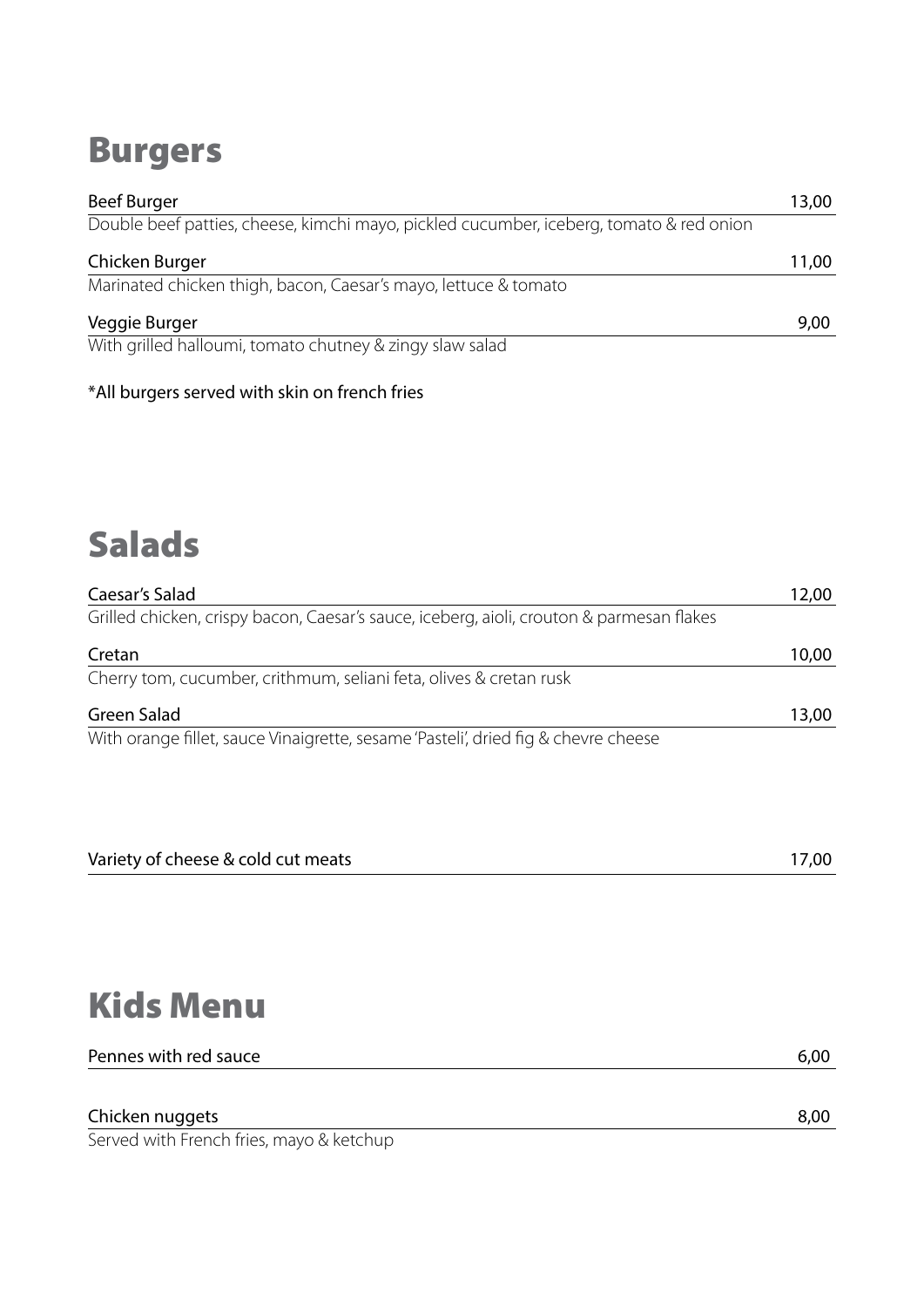# Burgers

| <b>Beef Burger</b>                                                                      | 13,00 |
|-----------------------------------------------------------------------------------------|-------|
| Double beef patties, cheese, kimchi mayo, pickled cucumber, iceberg, tomato & red onion |       |
| Chicken Burger                                                                          | 11,00 |
| Marinated chicken thigh, bacon, Caesar's mayo, lettuce & tomato                         |       |
| Veggie Burger                                                                           | 9,00  |
| With grilled halloumi, tomato chutney & zingy slaw salad                                |       |

\*All burgers served with skin on french fries

# Salads

| Caesar's Salad                                                                           | 12,00 |
|------------------------------------------------------------------------------------------|-------|
| Grilled chicken, crispy bacon, Caesar's sauce, iceberg, aioli, crouton & parmesan flakes |       |
| Cretan                                                                                   | 10,00 |
| Cherry tom, cucumber, crithmum, seliani feta, olives & cretan rusk                       |       |
| <b>Green Salad</b>                                                                       | 13,00 |
| With orange fillet, sauce Vinaigrette, sesame 'Pasteli', dried fig & chevre cheese       |       |

| Variety of cheese & cold cut meats |  |
|------------------------------------|--|
|                                    |  |

# Kids Menu

| Pennes with red sauce | 6,00 |
|-----------------------|------|
|                       |      |
|                       |      |

Chicken nuggets 8,00 Served with French fries, mayo & ketchup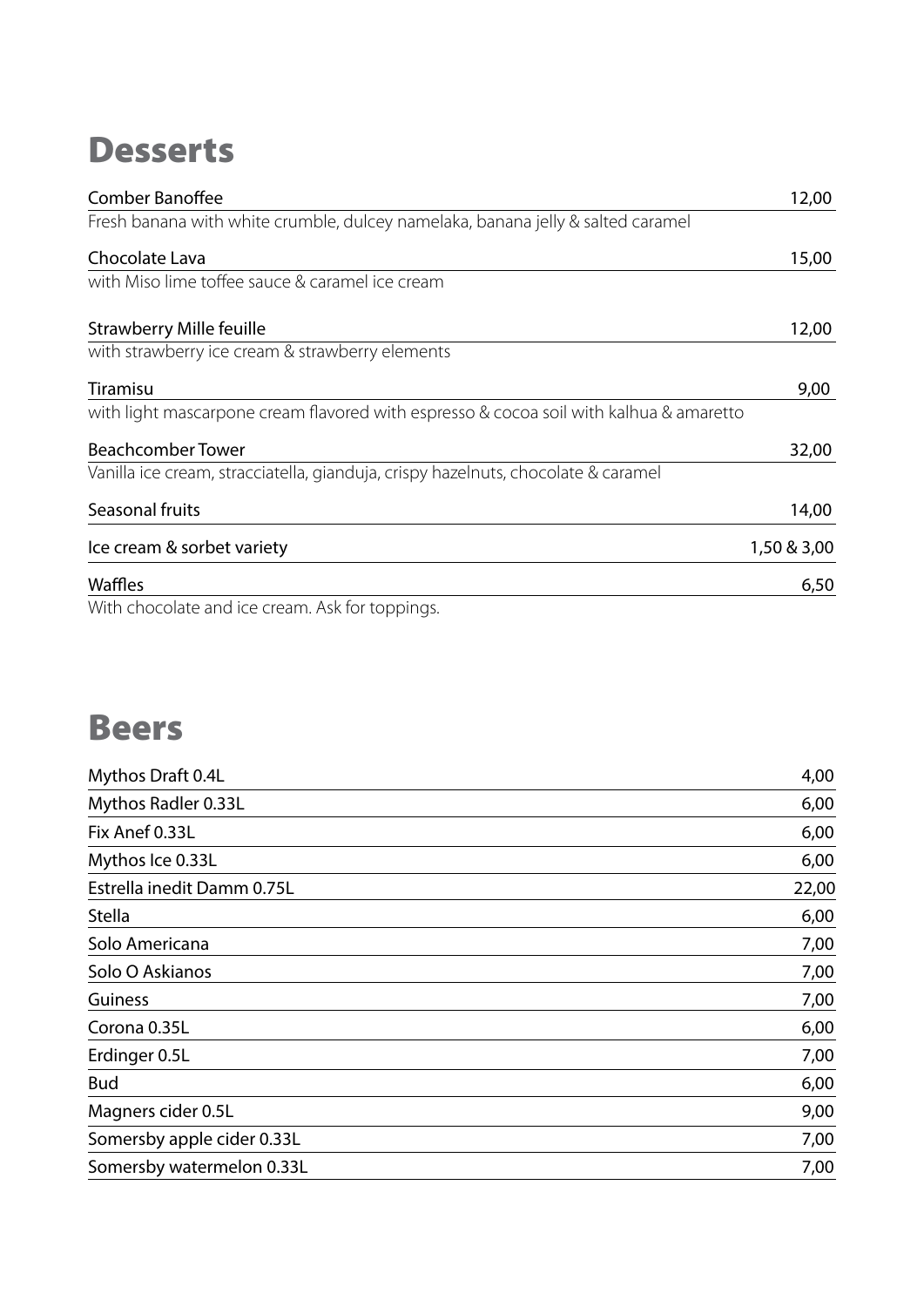#### **Desserts**

| <b>Comber Banoffee</b>                                                                 | 12,00       |
|----------------------------------------------------------------------------------------|-------------|
| Fresh banana with white crumble, dulcey namelaka, banana jelly & salted caramel        |             |
| Chocolate Lava                                                                         | 15,00       |
| with Miso lime toffee sauce & caramel ice cream                                        |             |
| <b>Strawberry Mille feuille</b>                                                        | 12,00       |
| with strawberry ice cream & strawberry elements                                        |             |
| Tiramisu                                                                               | 9,00        |
| with light mascarpone cream flavored with espresso & cocoa soil with kalhua & amaretto |             |
| <b>Beachcomber Tower</b>                                                               | 32,00       |
| Vanilla ice cream, stracciatella, gianduja, crispy hazelnuts, chocolate & caramel      |             |
| Seasonal fruits                                                                        | 14,00       |
| Ice cream & sorbet variety                                                             | 1,50 & 3,00 |
| Waffles                                                                                | 6,50        |
| With chocolate and ice cream. Ask for toppings.                                        |             |

# Beers

| Mythos Draft 0.4L          | 4,00  |
|----------------------------|-------|
| Mythos Radler 0.33L        | 6,00  |
| Fix Anef 0.33L             | 6,00  |
| Mythos Ice 0.33L           | 6,00  |
| Estrella inedit Damm 0.75L | 22,00 |
| <b>Stella</b>              | 6,00  |
| Solo Americana             | 7,00  |
| Solo O Askianos            | 7,00  |
| Guiness                    | 7,00  |
| Corona 0.35L               | 6,00  |
| Erdinger 0.5L              | 7,00  |
| <b>Bud</b>                 | 6,00  |
| Magners cider 0.5L         | 9,00  |
| Somersby apple cider 0.33L | 7,00  |
| Somersby watermelon 0.33L  | 7,00  |
|                            |       |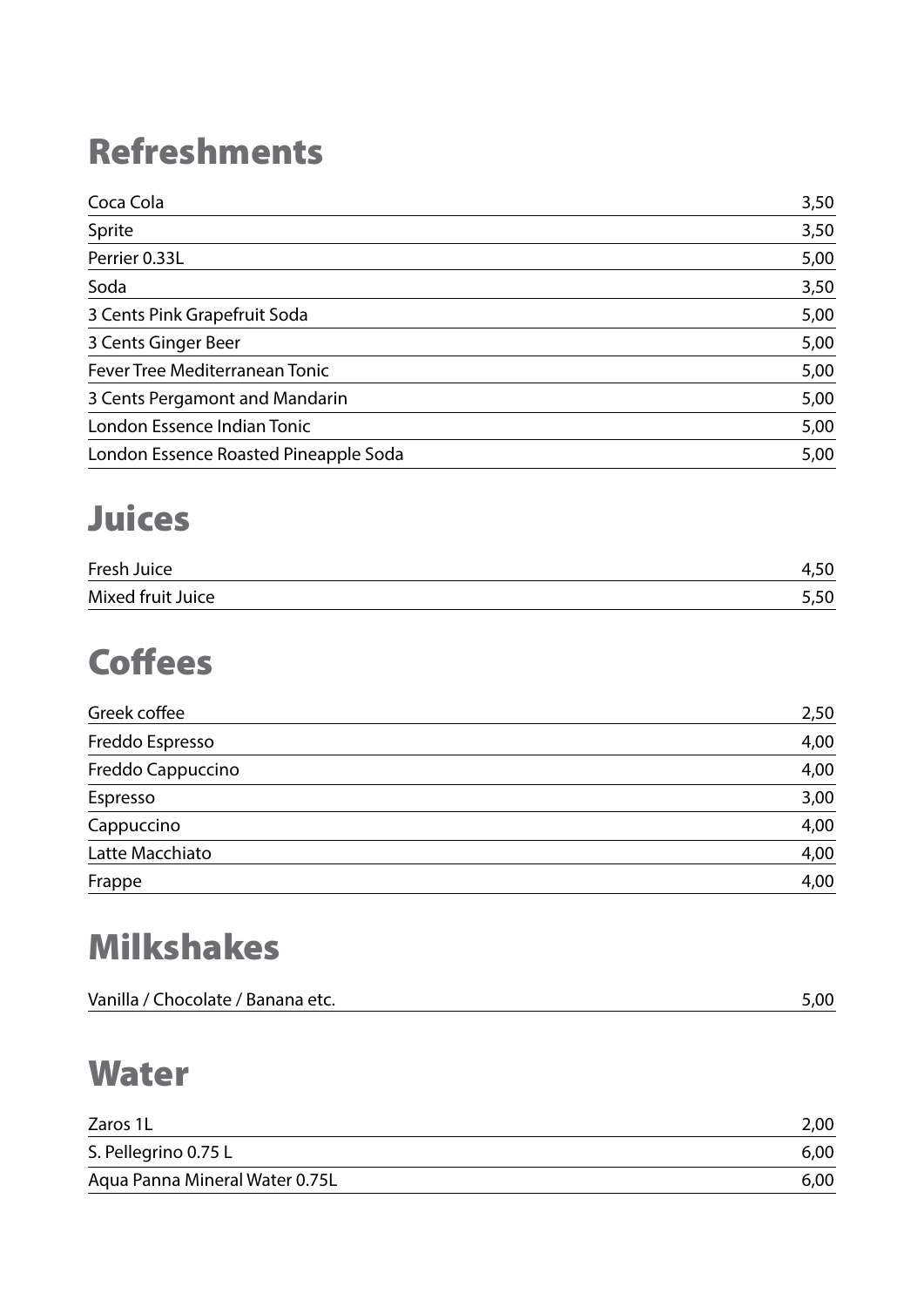# Refreshments

| Coca Cola                             | 3,50 |
|---------------------------------------|------|
| Sprite                                | 3,50 |
| Perrier 0.33L                         | 5,00 |
| Soda                                  | 3,50 |
| 3 Cents Pink Grapefruit Soda          | 5,00 |
| 3 Cents Ginger Beer                   | 5,00 |
| Fever Tree Mediterranean Tonic        | 5,00 |
| 3 Cents Pergamont and Mandarin        | 5,00 |
| London Essence Indian Tonic           | 5,00 |
| London Essence Roasted Pineapple Soda | 5,00 |

# Juices

| Fresh Juice       | t, JU |
|-------------------|-------|
| Mixed fruit Juice | טנ,כ  |

# **Coffees**

| Greek coffee      | 2,50 |
|-------------------|------|
| Freddo Espresso   | 4,00 |
| Freddo Cappuccino | 4,00 |
| Espresso          | 3,00 |
| Cappuccino        | 4,00 |
| Latte Macchiato   | 4,00 |
| Frappe            | 4,00 |

# Milkshakes

| $\sim$ |
|--------|
|        |

#### **Water**

| Zaros 1L                       | 2,00 |
|--------------------------------|------|
| S. Pellegrino 0.75 L           | 6,00 |
| Aqua Panna Mineral Water 0.75L | 6,00 |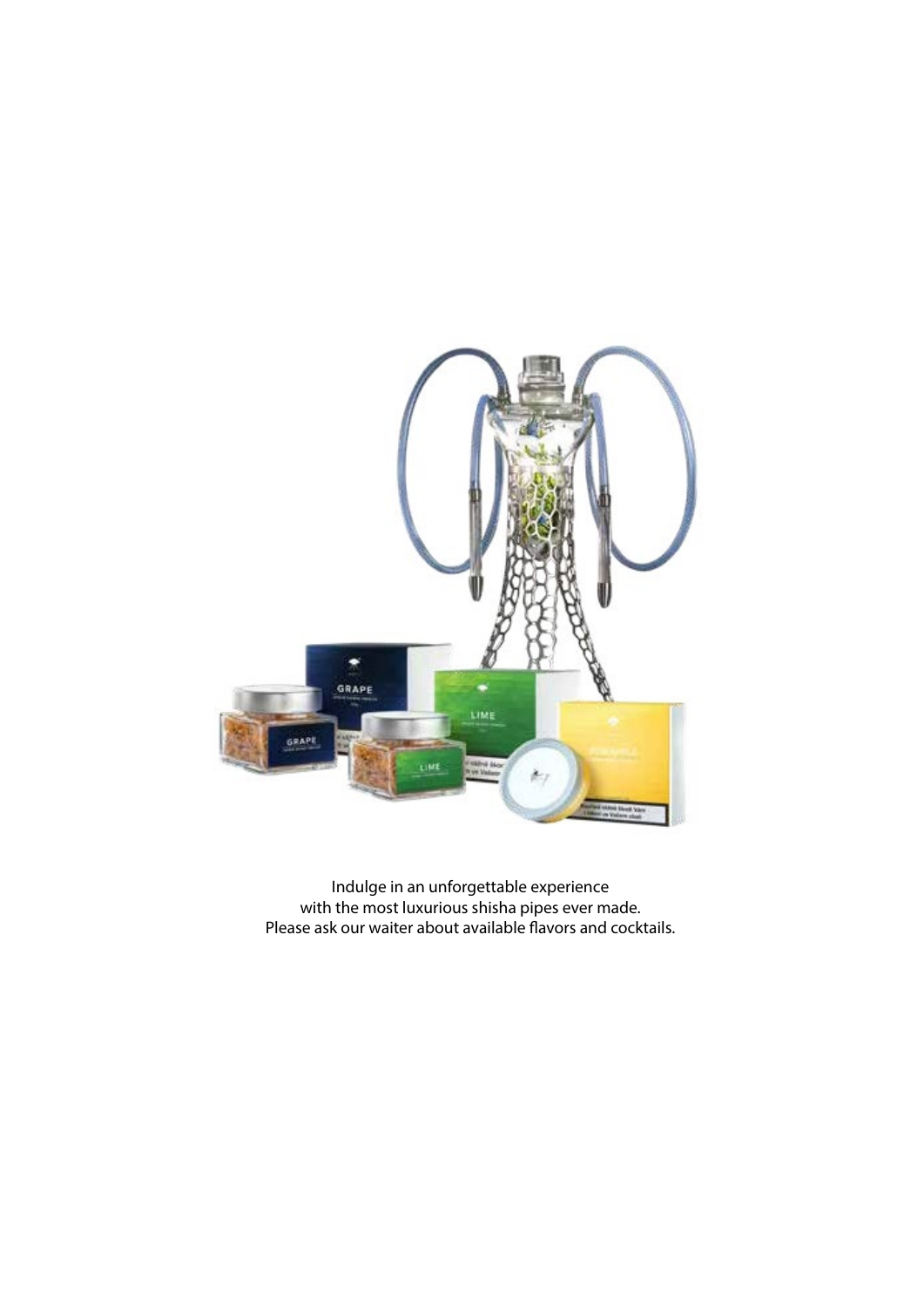

Indulge in an unforgettable experience with the most luxurious shisha pipes ever made. Please ask our waiter about available flavors and cocktails.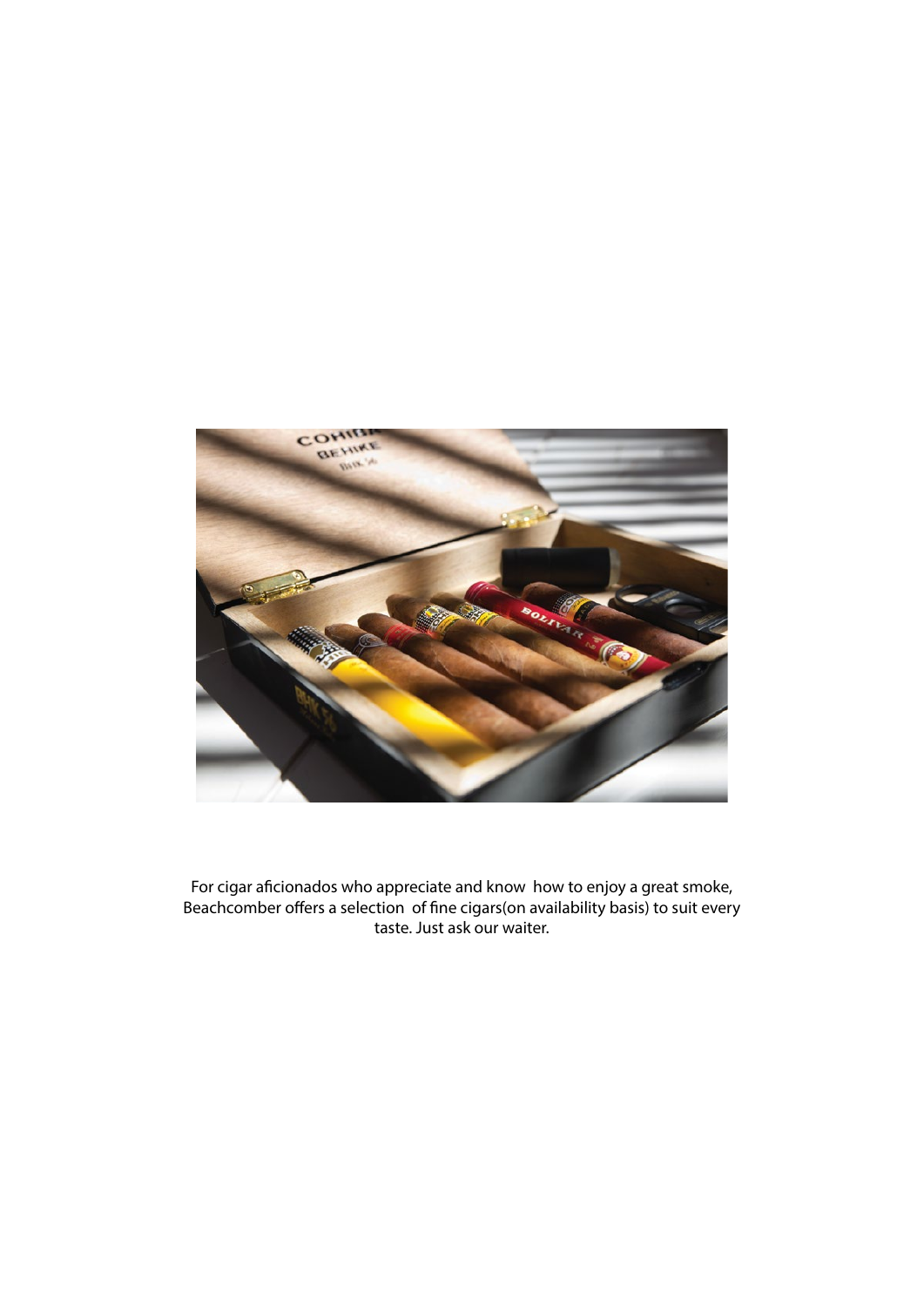

For cigar aficionados who appreciate and know how to enjoy a great smoke, Beachcomber offers a selection of fine cigars(on availability basis) to suit every taste. Just ask our waiter.